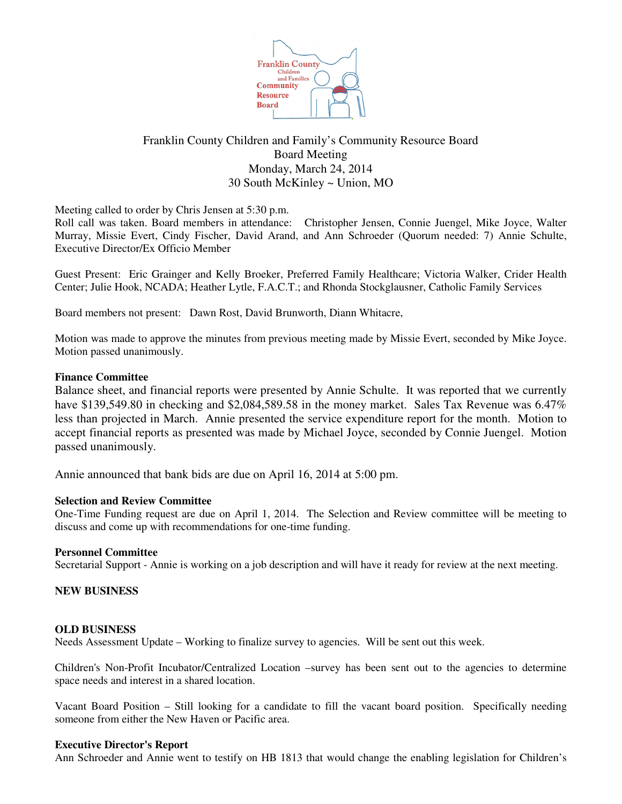

# Franklin County Children and Family's Community Resource Board Board Meeting Monday, March 24, 2014 30 South McKinley ~ Union, MO

Meeting called to order by Chris Jensen at 5:30 p.m.

Roll call was taken. Board members in attendance: Christopher Jensen, Connie Juengel, Mike Joyce, Walter Murray, Missie Evert, Cindy Fischer, David Arand, and Ann Schroeder (Quorum needed: 7) Annie Schulte, Executive Director/Ex Officio Member

Guest Present: Eric Grainger and Kelly Broeker, Preferred Family Healthcare; Victoria Walker, Crider Health Center; Julie Hook, NCADA; Heather Lytle, F.A.C.T.; and Rhonda Stockglausner, Catholic Family Services

Board members not present: Dawn Rost, David Brunworth, Diann Whitacre,

Motion was made to approve the minutes from previous meeting made by Missie Evert, seconded by Mike Joyce. Motion passed unanimously.

### **Finance Committee**

Balance sheet, and financial reports were presented by Annie Schulte. It was reported that we currently have \$139,549.80 in checking and \$2,084,589.58 in the money market. Sales Tax Revenue was 6.47% less than projected in March. Annie presented the service expenditure report for the month. Motion to accept financial reports as presented was made by Michael Joyce, seconded by Connie Juengel. Motion passed unanimously.

Annie announced that bank bids are due on April 16, 2014 at 5:00 pm.

#### **Selection and Review Committee**

One-Time Funding request are due on April 1, 2014. The Selection and Review committee will be meeting to discuss and come up with recommendations for one-time funding.

#### **Personnel Committee**

Secretarial Support - Annie is working on a job description and will have it ready for review at the next meeting.

#### **NEW BUSINESS**

#### **OLD BUSINESS**

Needs Assessment Update – Working to finalize survey to agencies. Will be sent out this week.

Children's Non-Profit Incubator/Centralized Location –survey has been sent out to the agencies to determine space needs and interest in a shared location.

Vacant Board Position – Still looking for a candidate to fill the vacant board position. Specifically needing someone from either the New Haven or Pacific area.

#### **Executive Director's Report**

Ann Schroeder and Annie went to testify on HB 1813 that would change the enabling legislation for Children's